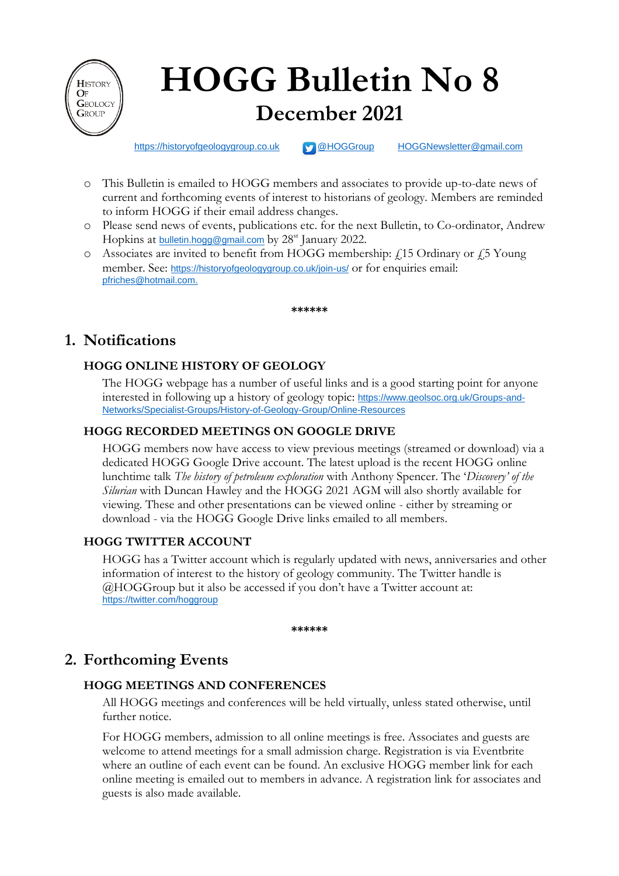

# **HOGG Bulletin No 8 December 2021**

[https://historyofgeologygroup.co.uk](https://historyofgeologygroup.co.uk/) **[@HOGGroup](https://twitter.com/hoggroup?lang=en) [HOGGNewsletter@gmail.com](mailto:HOGGNewsletter@gmail.com)** 

- o This Bulletin is emailed to HOGG members and associates to provide up-to-date news of current and forthcoming events of interest to historians of geology. Members are reminded to inform HOGG if their email address changes.
- o Please send news of events, publications etc. for the next Bulletin, to Co-ordinator, Andrew Hopkins at **[bulletin.hogg@gmail.com](mailto:bulletin.hogg@gmail.com)** by 28<sup>st</sup> January 2022.
- $\circ$  Associates are invited to benefit from HOGG membership:  $f_{15}$  Ordinary or f<sub>5</sub> Young member. See: <https://historyofgeologygroup.co.uk/join-us/> or for enquiries email: [pfriches@hotmail.com.](mailto:pfriches@hotmail.com)

**\*\*\*\*\*\***

## **1. Notifications**

## **HOGG ONLINE HISTORY OF GEOLOGY**

The HOGG webpage has a number of useful links and is a good starting point for anyone interested in following up a history of geology topic: [https://www.geolsoc.org.uk/Groups-and-](https://www.geolsoc.org.uk/Groups-and-Networks/Specialist-Groups/History-of-Geology-Group/Online-Resources)[Networks/Specialist-Groups/History-of-Geology-Group/Online-Resources](https://www.geolsoc.org.uk/Groups-and-Networks/Specialist-Groups/History-of-Geology-Group/Online-Resources)

## **HOGG RECORDED MEETINGS ON GOOGLE DRIVE**

HOGG members now have access to view previous meetings (streamed or download) via a dedicated HOGG Google Drive account. The latest upload is the recent HOGG online lunchtime talk *The history of petroleum exploration* with Anthony Spencer. The '*Discovery' of the Silurian* with Duncan Hawley and the HOGG 2021 AGM will also shortly available for viewing. These and other presentations can be viewed online - either by streaming or download - via the HOGG Google Drive links emailed to all members.

## **HOGG TWITTER ACCOUNT**

HOGG has a Twitter account which is regularly updated with news, anniversaries and other information of interest to the history of geology community. The Twitter handle is @HOGGroup but it also be accessed if you don't have a Twitter account at: <https://twitter.com/hoggroup>

**\*\*\*\*\*\***

# **2. Forthcoming Events**

## **HOGG MEETINGS AND CONFERENCES**

All HOGG meetings and conferences will be held virtually, unless stated otherwise, until further notice.

For HOGG members, admission to all online meetings is free. Associates and guests are welcome to attend meetings for a small admission charge. Registration is via Eventbrite where an outline of each event can be found. An exclusive HOGG member link for each online meeting is emailed out to members in advance. A registration link for associates and guests is also made available.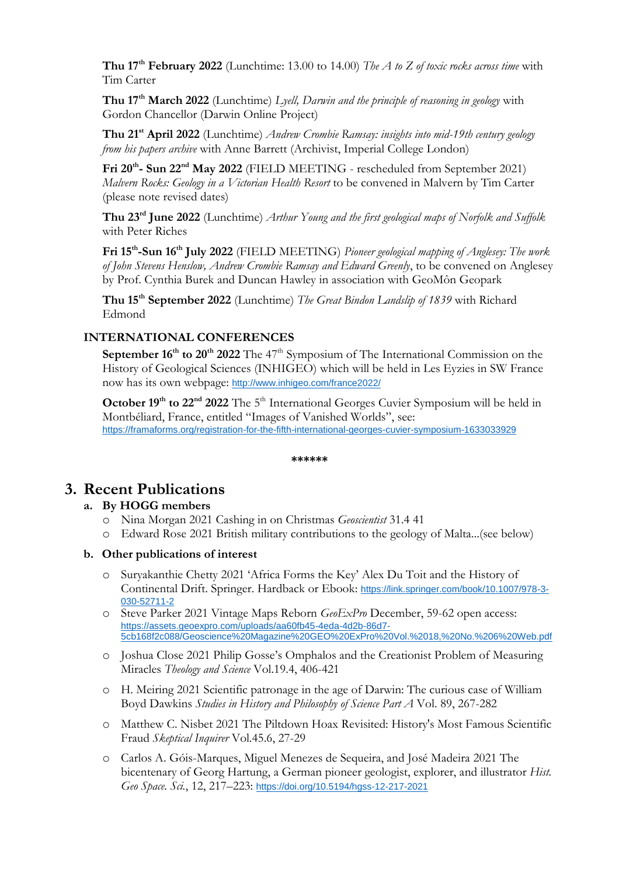**Thu 17th February 2022** (Lunchtime: 13.00 to 14.00) *The A to Z of toxic rocks across time* with Tim Carter

**Thu 17th March 2022** (Lunchtime) *Lyell, Darwin and the principle of reasoning in geology* with Gordon Chancellor (Darwin Online Project)

**Thu 21st April 2022** (Lunchtime) *Andrew Crombie Ramsay: insights into mid-19th century geology from his papers archive* with Anne Barrett (Archivist, Imperial College London)

**Fri 20 th - Sun 22 nd May 2022** (FIELD MEETING - rescheduled from September 2021) *Malvern Rocks: Geology in a Victorian Health Resort* to be convened in Malvern by Tim Carter (please note revised dates)

**Thu 23rd June 2022** (Lunchtime) *Arthur Young and the first geological maps of Norfolk and Suffolk* with Peter Riches

**Fri 15th -Sun 16 th July 2022** (FIELD MEETING) *Pioneer geological mapping of Anglesey: The work of John Stevens Henslow, Andrew Crombie Ramsay and Edward Greenly*, to be convened on Anglesey by Prof. Cynthia Burek and Duncan Hawley in association with GeoMôn Geopark

**Thu 15th September 2022** (Lunchtime) *The Great Bindon Landslip of 1839* with Richard Edmond

#### **INTERNATIONAL CONFERENCES**

**September 16<sup>th</sup> to 20<sup>th</sup> 2022** The 47<sup>th</sup> Symposium of The International Commission on the History of Geological Sciences (INHIGEO) which will be held in Les Eyzies in SW France now has its own webpage: <http://www.inhigeo.com/france2022/>

October 19<sup>th</sup> to 22<sup>nd</sup> 2022 The 5<sup>th</sup> International Georges Cuvier Symposium will be held in Montbéliard, France, entitled "Images of Vanished Worlds", see: <https://framaforms.org/registration-for-the-fifth-international-georges-cuvier-symposium-1633033929>

**\*\*\*\*\*\***

## **3. Recent Publications**

#### **a. By HOGG members**

- o Nina Morgan 2021 Cashing in on Christmas *Geoscientist* 31.4 41
- o Edward Rose 2021 British military contributions to the geology of Malta...(see below)

#### **b. Other publications of interest**

- o Suryakanthie Chetty 2021 'Africa Forms the Key' Alex Du Toit and the History of Continental Drift. Springer. Hardback or Ebook: [https://link.springer.com/book/10.1007/978-3-](https://link.springer.com/book/10.1007/978-3-030-52711-2) [030-52711-2](https://link.springer.com/book/10.1007/978-3-030-52711-2)
- o Steve Parker 2021 Vintage Maps Reborn *GeoExPro* December, 59-62 open access: [https://assets.geoexpro.com/uploads/aa60fb45-4eda-4d2b-86d7-](https://assets.geoexpro.com/uploads/aa60fb45-4eda-4d2b-86d7-5cb168f2c088/Geoscience%20Magazine%20GEO%20ExPro%20Vol.%2018,%20No.%206%20Web.pdf) [5cb168f2c088/Geoscience%20Magazine%20GEO%20ExPro%20Vol.%2018,%20No.%206%20Web.pdf](https://assets.geoexpro.com/uploads/aa60fb45-4eda-4d2b-86d7-5cb168f2c088/Geoscience%20Magazine%20GEO%20ExPro%20Vol.%2018,%20No.%206%20Web.pdf)
- o Joshua Close 2021 Philip Gosse's Omphalos and the Creationist Problem of Measuring Miracles *Theology and Science* Vol.19.4, 406-421
- o H. Meiring 2021 Scientific patronage in the age of Darwin: The curious case of William Boyd Dawkins *Studies in History and Philosophy of Science Part A* Vol. 89, 267-282
- o Matthew C. Nisbet 2021 The Piltdown Hoax Revisited: History's Most Famous Scientific Fraud *Skeptical Inquirer* Vol.45.6, 27-29
- o Carlos A. Góis-Marques, Miguel Menezes de Sequeira, and José Madeira 2021 The bicentenary of Georg Hartung, a German pioneer geologist, explorer, and illustrator *Hist. Geo Space. Sci.*, 12, 217–223: <https://doi.org/10.5194/hgss-12-217-2021>